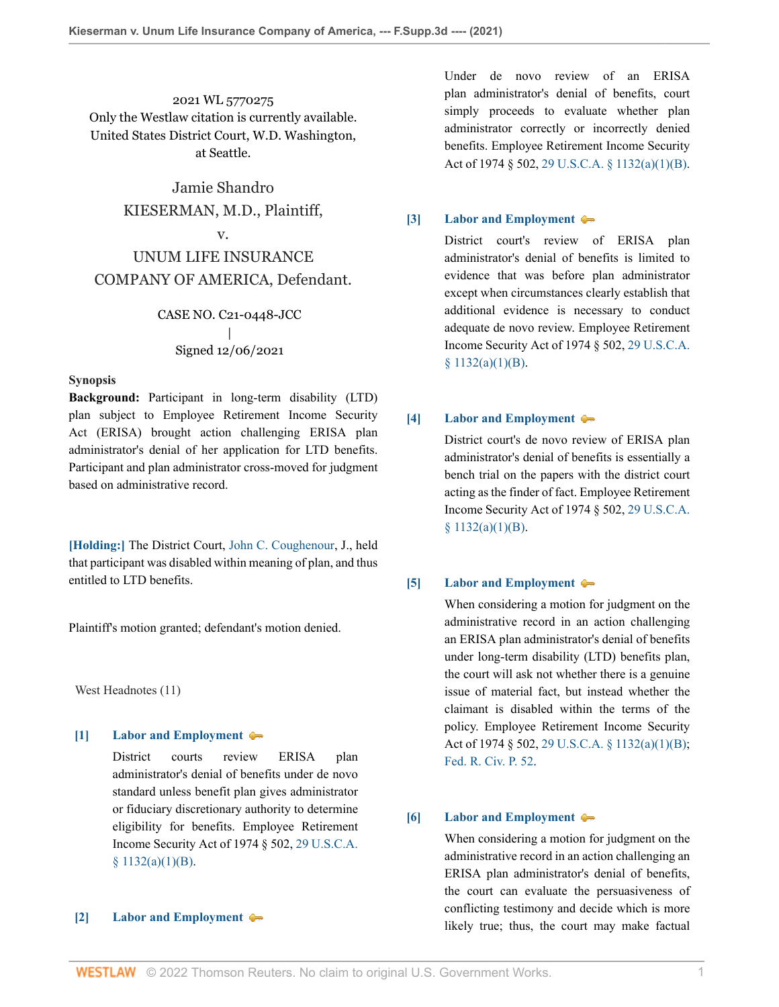2021 WL 5770275 Only the Westlaw citation is currently available. United States District Court, W.D. Washington, at Seattle.

> Jamie Shandro KIESERMAN, M.D., Plaintiff,

## v.

# UNUM LIFE INSURANCE COMPANY OF AMERICA, Defendant.

## CASE NO. C21-0448-JCC | Signed 12/06/2021

#### **Synopsis**

**Background:** Participant in long-term disability (LTD) plan subject to Employee Retirement Income Security Act (ERISA) brought action challenging ERISA plan administrator's denial of her application for LTD benefits. Participant and plan administrator cross-moved for judgment based on administrative record.

**[\[Holding:\]](#page-1-0)** The District Court, [John C. Coughenour,](http://www.westlaw.com/Link/Document/FullText?findType=h&pubNum=176284&cite=0172015901&originatingDoc=I7f7d0e90573811ec80e88bfd15733b68&refType=RQ&originationContext=document&vr=3.0&rs=cblt1.0&transitionType=DocumentItem&contextData=(sc.Default)) J., held that participant was disabled within meaning of plan, and thus entitled to LTD benefits.

Plaintiff's motion granted; defendant's motion denied.

West Headnotes (11)

## <span id="page-0-0"></span>**[\[1\]](#page-3-0) [Labor and Employment](http://www.westlaw.com/Browse/Home/KeyNumber/231H/View.html?docGuid=I7f7d0e90573811ec80e88bfd15733b68&originationContext=document&vr=3.0&rs=cblt1.0&transitionType=DocumentItem&contextData=(sc.Default))**

District courts review ERISA plan administrator's denial of benefits under de novo standard unless benefit plan gives administrator or fiduciary discretionary authority to determine eligibility for benefits. Employee Retirement Income Security Act of 1974 § 502, [29 U.S.C.A.](http://www.westlaw.com/Link/Document/FullText?findType=L&pubNum=1000546&cite=29USCAS1132&originatingDoc=I7f7d0e90573811ec80e88bfd15733b68&refType=SP&originationContext=document&vr=3.0&rs=cblt1.0&transitionType=DocumentItem&contextData=(sc.Default)#co_pp_50660000823d1)  $§ 1132(a)(1)(B).$ 

#### <span id="page-0-1"></span>**[\[2\]](#page-3-1) [Labor and Employment](http://www.westlaw.com/Browse/Home/KeyNumber/231H/View.html?docGuid=I7f7d0e90573811ec80e88bfd15733b68&originationContext=document&vr=3.0&rs=cblt1.0&transitionType=DocumentItem&contextData=(sc.Default))**

Under de novo review of an ERISA plan administrator's denial of benefits, court simply proceeds to evaluate whether plan administrator correctly or incorrectly denied benefits. Employee Retirement Income Security Act of 1974 § 502, [29 U.S.C.A. § 1132\(a\)\(1\)\(B\)](http://www.westlaw.com/Link/Document/FullText?findType=L&pubNum=1000546&cite=29USCAS1132&originatingDoc=I7f7d0e90573811ec80e88bfd15733b68&refType=SP&originationContext=document&vr=3.0&rs=cblt1.0&transitionType=DocumentItem&contextData=(sc.Default)#co_pp_50660000823d1).

#### <span id="page-0-2"></span>**[\[3\]](#page-3-2) [Labor and Employment](http://www.westlaw.com/Browse/Home/KeyNumber/231H/View.html?docGuid=I7f7d0e90573811ec80e88bfd15733b68&originationContext=document&vr=3.0&rs=cblt1.0&transitionType=DocumentItem&contextData=(sc.Default))**

District court's review of ERISA plan administrator's denial of benefits is limited to evidence that was before plan administrator except when circumstances clearly establish that additional evidence is necessary to conduct adequate de novo review. Employee Retirement Income Security Act of 1974 § 502, [29 U.S.C.A.](http://www.westlaw.com/Link/Document/FullText?findType=L&pubNum=1000546&cite=29USCAS1132&originatingDoc=I7f7d0e90573811ec80e88bfd15733b68&refType=SP&originationContext=document&vr=3.0&rs=cblt1.0&transitionType=DocumentItem&contextData=(sc.Default)#co_pp_50660000823d1) [§ 1132\(a\)\(1\)\(B\).](http://www.westlaw.com/Link/Document/FullText?findType=L&pubNum=1000546&cite=29USCAS1132&originatingDoc=I7f7d0e90573811ec80e88bfd15733b68&refType=SP&originationContext=document&vr=3.0&rs=cblt1.0&transitionType=DocumentItem&contextData=(sc.Default)#co_pp_50660000823d1)

#### <span id="page-0-3"></span>**[\[4\]](#page-3-3) [Labor and Employment](http://www.westlaw.com/Browse/Home/KeyNumber/231H/View.html?docGuid=I7f7d0e90573811ec80e88bfd15733b68&originationContext=document&vr=3.0&rs=cblt1.0&transitionType=DocumentItem&contextData=(sc.Default))**

District court's de novo review of ERISA plan administrator's denial of benefits is essentially a bench trial on the papers with the district court acting as the finder of fact. Employee Retirement Income Security Act of 1974 § 502, [29 U.S.C.A.](http://www.westlaw.com/Link/Document/FullText?findType=L&pubNum=1000546&cite=29USCAS1132&originatingDoc=I7f7d0e90573811ec80e88bfd15733b68&refType=SP&originationContext=document&vr=3.0&rs=cblt1.0&transitionType=DocumentItem&contextData=(sc.Default)#co_pp_50660000823d1)  $$1132(a)(1)(B).$ 

#### <span id="page-0-4"></span>**[\[5\]](#page-3-4) [Labor and Employment](http://www.westlaw.com/Browse/Home/KeyNumber/231H/View.html?docGuid=I7f7d0e90573811ec80e88bfd15733b68&originationContext=document&vr=3.0&rs=cblt1.0&transitionType=DocumentItem&contextData=(sc.Default))**

When considering a motion for judgment on the administrative record in an action challenging an ERISA plan administrator's denial of benefits under long-term disability (LTD) benefits plan, the court will ask not whether there is a genuine issue of material fact, but instead whether the claimant is disabled within the terms of the policy. Employee Retirement Income Security Act of 1974 § 502, [29 U.S.C.A. § 1132\(a\)\(1\)\(B\);](http://www.westlaw.com/Link/Document/FullText?findType=L&pubNum=1000546&cite=29USCAS1132&originatingDoc=I7f7d0e90573811ec80e88bfd15733b68&refType=SP&originationContext=document&vr=3.0&rs=cblt1.0&transitionType=DocumentItem&contextData=(sc.Default)#co_pp_50660000823d1) [Fed. R. Civ. P. 52](http://www.westlaw.com/Link/Document/FullText?findType=L&pubNum=1000600&cite=USFRCPR52&originatingDoc=I7f7d0e90573811ec80e88bfd15733b68&refType=LQ&originationContext=document&vr=3.0&rs=cblt1.0&transitionType=DocumentItem&contextData=(sc.Default)).

#### <span id="page-0-5"></span>**[\[6\]](#page-3-5) [Labor and Employment](http://www.westlaw.com/Browse/Home/KeyNumber/231H/View.html?docGuid=I7f7d0e90573811ec80e88bfd15733b68&originationContext=document&vr=3.0&rs=cblt1.0&transitionType=DocumentItem&contextData=(sc.Default))**

When considering a motion for judgment on the administrative record in an action challenging an ERISA plan administrator's denial of benefits, the court can evaluate the persuasiveness of conflicting testimony and decide which is more likely true; thus, the court may make factual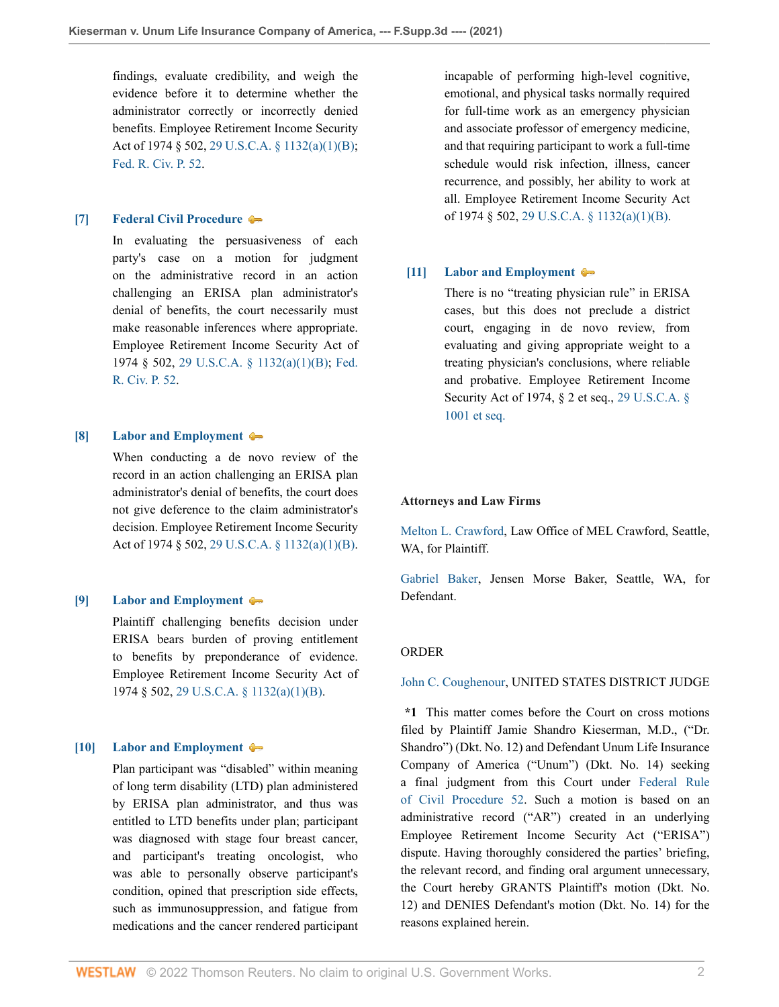findings, evaluate credibility, and weigh the evidence before it to determine whether the administrator correctly or incorrectly denied benefits. Employee Retirement Income Security Act of 1974 § 502, [29 U.S.C.A. § 1132\(a\)\(1\)\(B\);](http://www.westlaw.com/Link/Document/FullText?findType=L&pubNum=1000546&cite=29USCAS1132&originatingDoc=I7f7d0e90573811ec80e88bfd15733b68&refType=SP&originationContext=document&vr=3.0&rs=cblt1.0&transitionType=DocumentItem&contextData=(sc.Default)#co_pp_50660000823d1) [Fed. R. Civ. P. 52](http://www.westlaw.com/Link/Document/FullText?findType=L&pubNum=1000600&cite=USFRCPR52&originatingDoc=I7f7d0e90573811ec80e88bfd15733b68&refType=LQ&originationContext=document&vr=3.0&rs=cblt1.0&transitionType=DocumentItem&contextData=(sc.Default)).

#### <span id="page-1-1"></span>**[\[7\]](#page-3-6) [Federal Civil Procedure](http://www.westlaw.com/Browse/Home/KeyNumber/170A/View.html?docGuid=I7f7d0e90573811ec80e88bfd15733b68&originationContext=document&vr=3.0&rs=cblt1.0&transitionType=DocumentItem&contextData=(sc.Default))**

In evaluating the persuasiveness of each party's case on a motion for judgment on the administrative record in an action challenging an ERISA plan administrator's denial of benefits, the court necessarily must make reasonable inferences where appropriate. Employee Retirement Income Security Act of 1974 § 502, [29 U.S.C.A. § 1132\(a\)\(1\)\(B\);](http://www.westlaw.com/Link/Document/FullText?findType=L&pubNum=1000546&cite=29USCAS1132&originatingDoc=I7f7d0e90573811ec80e88bfd15733b68&refType=SP&originationContext=document&vr=3.0&rs=cblt1.0&transitionType=DocumentItem&contextData=(sc.Default)#co_pp_50660000823d1) [Fed.](http://www.westlaw.com/Link/Document/FullText?findType=L&pubNum=1000600&cite=USFRCPR52&originatingDoc=I7f7d0e90573811ec80e88bfd15733b68&refType=LQ&originationContext=document&vr=3.0&rs=cblt1.0&transitionType=DocumentItem&contextData=(sc.Default)) [R. Civ. P. 52](http://www.westlaw.com/Link/Document/FullText?findType=L&pubNum=1000600&cite=USFRCPR52&originatingDoc=I7f7d0e90573811ec80e88bfd15733b68&refType=LQ&originationContext=document&vr=3.0&rs=cblt1.0&transitionType=DocumentItem&contextData=(sc.Default)).

#### <span id="page-1-2"></span>**[\[8\]](#page-3-7) [Labor and Employment](http://www.westlaw.com/Browse/Home/KeyNumber/231H/View.html?docGuid=I7f7d0e90573811ec80e88bfd15733b68&originationContext=document&vr=3.0&rs=cblt1.0&transitionType=DocumentItem&contextData=(sc.Default))**

When conducting a de novo review of the record in an action challenging an ERISA plan administrator's denial of benefits, the court does not give deference to the claim administrator's decision. Employee Retirement Income Security Act of 1974 § 502, [29 U.S.C.A. § 1132\(a\)\(1\)\(B\)](http://www.westlaw.com/Link/Document/FullText?findType=L&pubNum=1000546&cite=29USCAS1132&originatingDoc=I7f7d0e90573811ec80e88bfd15733b68&refType=SP&originationContext=document&vr=3.0&rs=cblt1.0&transitionType=DocumentItem&contextData=(sc.Default)#co_pp_50660000823d1).

#### <span id="page-1-3"></span>**[\[9\]](#page-3-8) [Labor and Employment](http://www.westlaw.com/Browse/Home/KeyNumber/231H/View.html?docGuid=I7f7d0e90573811ec80e88bfd15733b68&originationContext=document&vr=3.0&rs=cblt1.0&transitionType=DocumentItem&contextData=(sc.Default))**

Plaintiff challenging benefits decision under ERISA bears burden of proving entitlement to benefits by preponderance of evidence. Employee Retirement Income Security Act of 1974 § 502, [29 U.S.C.A. § 1132\(a\)\(1\)\(B\)](http://www.westlaw.com/Link/Document/FullText?findType=L&pubNum=1000546&cite=29USCAS1132&originatingDoc=I7f7d0e90573811ec80e88bfd15733b68&refType=SP&originationContext=document&vr=3.0&rs=cblt1.0&transitionType=DocumentItem&contextData=(sc.Default)#co_pp_50660000823d1).

## <span id="page-1-0"></span>**[\[10\]](#page-3-9) [Labor and Employment](http://www.westlaw.com/Browse/Home/KeyNumber/231H/View.html?docGuid=I7f7d0e90573811ec80e88bfd15733b68&originationContext=document&vr=3.0&rs=cblt1.0&transitionType=DocumentItem&contextData=(sc.Default))**

Plan participant was "disabled" within meaning of long term disability (LTD) plan administered by ERISA plan administrator, and thus was entitled to LTD benefits under plan; participant was diagnosed with stage four breast cancer, and participant's treating oncologist, who was able to personally observe participant's condition, opined that prescription side effects, such as immunosuppression, and fatigue from medications and the cancer rendered participant incapable of performing high-level cognitive, emotional, and physical tasks normally required for full-time work as an emergency physician and associate professor of emergency medicine, and that requiring participant to work a full-time schedule would risk infection, illness, cancer recurrence, and possibly, her ability to work at all. Employee Retirement Income Security Act of 1974 § 502, [29 U.S.C.A. § 1132\(a\)\(1\)\(B\)](http://www.westlaw.com/Link/Document/FullText?findType=L&pubNum=1000546&cite=29USCAS1132&originatingDoc=I7f7d0e90573811ec80e88bfd15733b68&refType=SP&originationContext=document&vr=3.0&rs=cblt1.0&transitionType=DocumentItem&contextData=(sc.Default)#co_pp_50660000823d1).

#### <span id="page-1-4"></span>**[\[11\]](#page-4-0) [Labor and Employment](http://www.westlaw.com/Browse/Home/KeyNumber/231H/View.html?docGuid=I7f7d0e90573811ec80e88bfd15733b68&originationContext=document&vr=3.0&rs=cblt1.0&transitionType=DocumentItem&contextData=(sc.Default))**

There is no "treating physician rule" in ERISA cases, but this does not preclude a district court, engaging in de novo review, from evaluating and giving appropriate weight to a treating physician's conclusions, where reliable and probative. Employee Retirement Income Security Act of 1974, § 2 et seq., [29 U.S.C.A. §](http://www.westlaw.com/Link/Document/FullText?findType=L&pubNum=1000546&cite=29USCAS1001&originatingDoc=I7f7d0e90573811ec80e88bfd15733b68&refType=LQ&originationContext=document&vr=3.0&rs=cblt1.0&transitionType=DocumentItem&contextData=(sc.Default)) [1001 et seq.](http://www.westlaw.com/Link/Document/FullText?findType=L&pubNum=1000546&cite=29USCAS1001&originatingDoc=I7f7d0e90573811ec80e88bfd15733b68&refType=LQ&originationContext=document&vr=3.0&rs=cblt1.0&transitionType=DocumentItem&contextData=(sc.Default))

#### **Attorneys and Law Firms**

[Melton L. Crawford](http://www.westlaw.com/Link/Document/FullText?findType=h&pubNum=176284&cite=0168090501&originatingDoc=I7f7d0e90573811ec80e88bfd15733b68&refType=RQ&originationContext=document&vr=3.0&rs=cblt1.0&transitionType=DocumentItem&contextData=(sc.Default)), Law Office of MEL Crawford, Seattle, WA, for Plaintiff.

[Gabriel Baker,](http://www.westlaw.com/Link/Document/FullText?findType=h&pubNum=176284&cite=0335445101&originatingDoc=I7f7d0e90573811ec80e88bfd15733b68&refType=RQ&originationContext=document&vr=3.0&rs=cblt1.0&transitionType=DocumentItem&contextData=(sc.Default)) Jensen Morse Baker, Seattle, WA, for Defendant.

#### ORDER

[John C. Coughenour](http://www.westlaw.com/Link/Document/FullText?findType=h&pubNum=176284&cite=0172015901&originatingDoc=I7f7d0e90573811ec80e88bfd15733b68&refType=RQ&originationContext=document&vr=3.0&rs=cblt1.0&transitionType=DocumentItem&contextData=(sc.Default)), UNITED STATES DISTRICT JUDGE

**\*1** This matter comes before the Court on cross motions filed by Plaintiff Jamie Shandro Kieserman, M.D., ("Dr. Shandro") (Dkt. No. 12) and Defendant Unum Life Insurance Company of America ("Unum") (Dkt. No. 14) seeking a final judgment from this Court under [Federal Rule](http://www.westlaw.com/Link/Document/FullText?findType=L&pubNum=1000600&cite=USFRCPR52&originatingDoc=I7f7d0e90573811ec80e88bfd15733b68&refType=LQ&originationContext=document&vr=3.0&rs=cblt1.0&transitionType=DocumentItem&contextData=(sc.Default)) [of Civil Procedure 52.](http://www.westlaw.com/Link/Document/FullText?findType=L&pubNum=1000600&cite=USFRCPR52&originatingDoc=I7f7d0e90573811ec80e88bfd15733b68&refType=LQ&originationContext=document&vr=3.0&rs=cblt1.0&transitionType=DocumentItem&contextData=(sc.Default)) Such a motion is based on an administrative record ("AR") created in an underlying Employee Retirement Income Security Act ("ERISA") dispute. Having thoroughly considered the parties' briefing, the relevant record, and finding oral argument unnecessary, the Court hereby GRANTS Plaintiff's motion (Dkt. No. 12) and DENIES Defendant's motion (Dkt. No. 14) for the reasons explained herein.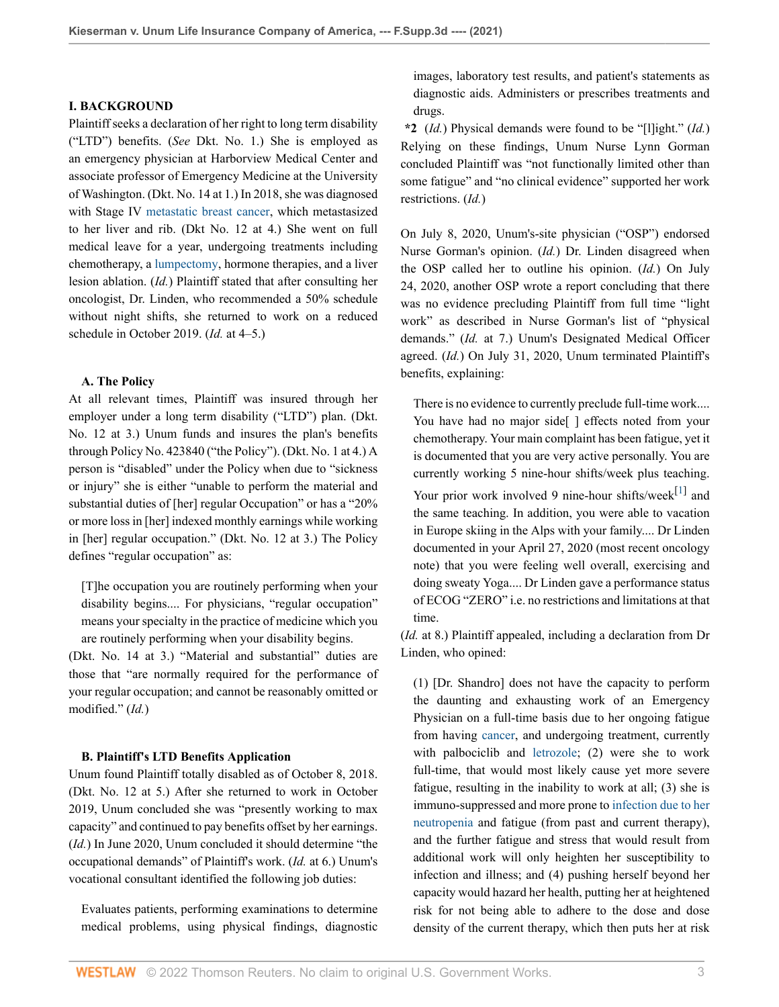#### **I. BACKGROUND**

Plaintiff seeks a declaration of her right to long term disability ("LTD") benefits. (*See* Dkt. No. 1.) She is employed as an emergency physician at Harborview Medical Center and associate professor of Emergency Medicine at the University of Washington. (Dkt. No. 14 at 1.) In 2018, she was diagnosed with Stage IV [metastatic breast cancer](http://www.westlaw.com/Link/Document/FullText?entityType=disease&entityId=Iaa9b4983475411db9765f9243f53508a&originationContext=document&transitionType=DocumentItem&contextData=(sc.Default)&vr=3.0&rs=cblt1.0), which metastasized to her liver and rib. (Dkt No. 12 at 4.) She went on full medical leave for a year, undergoing treatments including chemotherapy, a [lumpectomy,](http://www.westlaw.com/Link/Document/FullText?entityType=mproc&entityId=Ibf045aca475411db9765f9243f53508a&originationContext=document&transitionType=DocumentItem&contextData=(sc.Default)&vr=3.0&rs=cblt1.0) hormone therapies, and a liver lesion ablation. (*Id.*) Plaintiff stated that after consulting her oncologist, Dr. Linden, who recommended a 50% schedule without night shifts, she returned to work on a reduced schedule in October 2019. (*Id.* at 4–5.)

#### **A. The Policy**

At all relevant times, Plaintiff was insured through her employer under a long term disability ("LTD") plan. (Dkt. No. 12 at 3.) Unum funds and insures the plan's benefits through Policy No. 423840 ("the Policy"). (Dkt. No. 1 at 4.) A person is "disabled" under the Policy when due to "sickness or injury" she is either "unable to perform the material and substantial duties of [her] regular Occupation" or has a "20% or more loss in [her] indexed monthly earnings while working in [her] regular occupation." (Dkt. No. 12 at 3.) The Policy defines "regular occupation" as:

[T]he occupation you are routinely performing when your disability begins.... For physicians, "regular occupation" means your specialty in the practice of medicine which you are routinely performing when your disability begins.

(Dkt. No. 14 at 3.) "Material and substantial" duties are those that "are normally required for the performance of your regular occupation; and cannot be reasonably omitted or modified." (*Id.*)

## **B. Plaintiff's LTD Benefits Application**

Unum found Plaintiff totally disabled as of October 8, 2018. (Dkt. No. 12 at 5.) After she returned to work in October 2019, Unum concluded she was "presently working to max capacity" and continued to pay benefits offset by her earnings. (*Id.*) In June 2020, Unum concluded it should determine "the occupational demands" of Plaintiff's work. (*Id.* at 6.) Unum's vocational consultant identified the following job duties:

Evaluates patients, performing examinations to determine medical problems, using physical findings, diagnostic images, laboratory test results, and patient's statements as diagnostic aids. Administers or prescribes treatments and drugs.

**\*2** (*Id.*) Physical demands were found to be "[l]ight." (*Id.*) Relying on these findings, Unum Nurse Lynn Gorman concluded Plaintiff was "not functionally limited other than some fatigue" and "no clinical evidence" supported her work restrictions. (*Id.*)

On July 8, 2020, Unum's-site physician ("OSP") endorsed Nurse Gorman's opinion. (*Id.*) Dr. Linden disagreed when the OSP called her to outline his opinion. (*Id.*) On July 24, 2020, another OSP wrote a report concluding that there was no evidence precluding Plaintiff from full time "light work" as described in Nurse Gorman's list of "physical demands." (*Id.* at 7.) Unum's Designated Medical Officer agreed. (*Id.*) On July 31, 2020, Unum terminated Plaintiff's benefits, explaining:

<span id="page-2-0"></span>There is no evidence to currently preclude full-time work.... You have had no major side[] effects noted from your chemotherapy. Your main complaint has been fatigue, yet it is documented that you are very active personally. You are currently working 5 nine-hour shifts/week plus teaching. Your prior work involved 9 nine-hour shifts/week $^{[1]}$  $^{[1]}$  $^{[1]}$  and the same teaching. In addition, you were able to vacation in Europe skiing in the Alps with your family.... Dr Linden documented in your April 27, 2020 (most recent oncology note) that you were feeling well overall, exercising and doing sweaty Yoga.... Dr Linden gave a performance status of ECOG "ZERO" i.e. no restrictions and limitations at that time.

(*Id.* at 8.) Plaintiff appealed, including a declaration from Dr Linden, who opined:

(1) [Dr. Shandro] does not have the capacity to perform the daunting and exhausting work of an Emergency Physician on a full-time basis due to her ongoing fatigue from having [cancer,](http://www.westlaw.com/Link/Document/FullText?entityType=disease&entityId=Iaf34f5c3475411db9765f9243f53508a&originationContext=document&transitionType=DocumentItem&contextData=(sc.Default)&vr=3.0&rs=cblt1.0) and undergoing treatment, currently with palbociclib and [letrozole;](http://www.westlaw.com/Link/Document/FullText?entityType=gdrug&entityId=I3ba69ea5475111db9765f9243f53508a&originationContext=document&transitionType=DocumentItem&contextData=(sc.Default)&vr=3.0&rs=cblt1.0) (2) were she to work full-time, that would most likely cause yet more severe fatigue, resulting in the inability to work at all; (3) she is immuno-suppressed and more prone to [infection due to her](http://www.westlaw.com/Link/Document/FullText?entityType=disease&entityId=Ic6871d23475411db9765f9243f53508a&originationContext=document&transitionType=DocumentItem&contextData=(sc.Default)&vr=3.0&rs=cblt1.0) [neutropenia](http://www.westlaw.com/Link/Document/FullText?entityType=disease&entityId=Ic6871d23475411db9765f9243f53508a&originationContext=document&transitionType=DocumentItem&contextData=(sc.Default)&vr=3.0&rs=cblt1.0) and fatigue (from past and current therapy), and the further fatigue and stress that would result from additional work will only heighten her susceptibility to infection and illness; and (4) pushing herself beyond her capacity would hazard her health, putting her at heightened risk for not being able to adhere to the dose and dose density of the current therapy, which then puts her at risk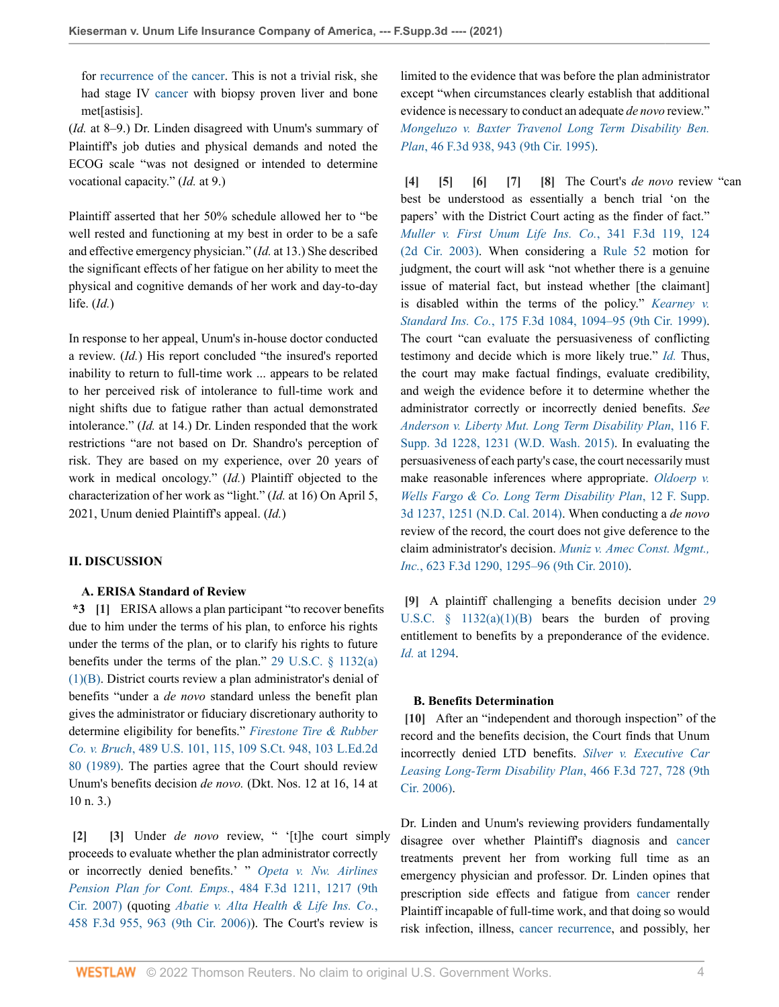for [recurrence of the cancer.](http://www.westlaw.com/Link/Document/FullText?entityType=disease&entityId=Ibf048198475411db9765f9243f53508a&originationContext=document&transitionType=DocumentItem&contextData=(sc.Default)&vr=3.0&rs=cblt1.0) This is not a trivial risk, she had stage IV [cancer](http://www.westlaw.com/Link/Document/FullText?entityType=disease&entityId=Iaf34f5c3475411db9765f9243f53508a&originationContext=document&transitionType=DocumentItem&contextData=(sc.Default)&vr=3.0&rs=cblt1.0) with biopsy proven liver and bone met[astisis].

(*Id.* at 8–9.) Dr. Linden disagreed with Unum's summary of Plaintiff's job duties and physical demands and noted the ECOG scale "was not designed or intended to determine vocational capacity." (*Id.* at 9.)

Plaintiff asserted that her 50% schedule allowed her to "be well rested and functioning at my best in order to be a safe and effective emergency physician." (*Id.* at 13.) She described the significant effects of her fatigue on her ability to meet the physical and cognitive demands of her work and day-to-day life. (*Id.*)

In response to her appeal, Unum's in-house doctor conducted a review. (*Id.*) His report concluded "the insured's reported inability to return to full-time work ... appears to be related to her perceived risk of intolerance to full-time work and night shifts due to fatigue rather than actual demonstrated intolerance." (*Id.* at 14.) Dr. Linden responded that the work restrictions "are not based on Dr. Shandro's perception of risk. They are based on my experience, over 20 years of work in medical oncology." (*Id.*) Plaintiff objected to the characterization of her work as "light." (*Id.* at 16) On April 5, 2021, Unum denied Plaintiff's appeal. (*Id.*)

## **II. DISCUSSION**

#### <span id="page-3-0"></span>**A. ERISA Standard of Review**

**\*3 [\[1\]](#page-0-0)** ERISA allows a plan participant "to recover benefits due to him under the terms of his plan, to enforce his rights under the terms of the plan, or to clarify his rights to future benefits under the terms of the plan." [29 U.S.C. § 1132\(a\)](http://www.westlaw.com/Link/Document/FullText?findType=L&pubNum=1000546&cite=29USCAS1132&originatingDoc=I7f7d0e90573811ec80e88bfd15733b68&refType=RB&originationContext=document&vr=3.0&rs=cblt1.0&transitionType=DocumentItem&contextData=(sc.Default)#co_pp_50660000823d1) [\(1\)\(B\).](http://www.westlaw.com/Link/Document/FullText?findType=L&pubNum=1000546&cite=29USCAS1132&originatingDoc=I7f7d0e90573811ec80e88bfd15733b68&refType=RB&originationContext=document&vr=3.0&rs=cblt1.0&transitionType=DocumentItem&contextData=(sc.Default)#co_pp_50660000823d1) District courts review a plan administrator's denial of benefits "under a *de novo* standard unless the benefit plan gives the administrator or fiduciary discretionary authority to determine eligibility for benefits." *[Firestone Tire & Rubber](http://www.westlaw.com/Link/Document/FullText?findType=Y&serNum=1989026578&pubNum=0000780&originatingDoc=I7f7d0e90573811ec80e88bfd15733b68&refType=RP&fi=co_pp_sp_780_115&originationContext=document&vr=3.0&rs=cblt1.0&transitionType=DocumentItem&contextData=(sc.Default)#co_pp_sp_780_115) Co. v. Bruch*[, 489 U.S. 101, 115, 109 S.Ct. 948, 103 L.Ed.2d](http://www.westlaw.com/Link/Document/FullText?findType=Y&serNum=1989026578&pubNum=0000780&originatingDoc=I7f7d0e90573811ec80e88bfd15733b68&refType=RP&fi=co_pp_sp_780_115&originationContext=document&vr=3.0&rs=cblt1.0&transitionType=DocumentItem&contextData=(sc.Default)#co_pp_sp_780_115) [80 \(1989\).](http://www.westlaw.com/Link/Document/FullText?findType=Y&serNum=1989026578&pubNum=0000780&originatingDoc=I7f7d0e90573811ec80e88bfd15733b68&refType=RP&fi=co_pp_sp_780_115&originationContext=document&vr=3.0&rs=cblt1.0&transitionType=DocumentItem&contextData=(sc.Default)#co_pp_sp_780_115) The parties agree that the Court should review Unum's benefits decision *de novo.* (Dkt. Nos. 12 at 16, 14 at 10 n. 3.)

<span id="page-3-2"></span><span id="page-3-1"></span>**[\[2\]](#page-0-1) [\[3\]](#page-0-2)** Under *de novo* review, " '[t]he court simply proceeds to evaluate whether the plan administrator correctly or incorrectly denied benefits.' " *[Opeta v. Nw. Airlines](http://www.westlaw.com/Link/Document/FullText?findType=Y&serNum=2012177070&pubNum=0000506&originatingDoc=I7f7d0e90573811ec80e88bfd15733b68&refType=RP&fi=co_pp_sp_506_1217&originationContext=document&vr=3.0&rs=cblt1.0&transitionType=DocumentItem&contextData=(sc.Default)#co_pp_sp_506_1217) [Pension Plan for Cont. Emps.](http://www.westlaw.com/Link/Document/FullText?findType=Y&serNum=2012177070&pubNum=0000506&originatingDoc=I7f7d0e90573811ec80e88bfd15733b68&refType=RP&fi=co_pp_sp_506_1217&originationContext=document&vr=3.0&rs=cblt1.0&transitionType=DocumentItem&contextData=(sc.Default)#co_pp_sp_506_1217)*, 484 F.3d 1211, 1217 (9th [Cir. 2007\)](http://www.westlaw.com/Link/Document/FullText?findType=Y&serNum=2012177070&pubNum=0000506&originatingDoc=I7f7d0e90573811ec80e88bfd15733b68&refType=RP&fi=co_pp_sp_506_1217&originationContext=document&vr=3.0&rs=cblt1.0&transitionType=DocumentItem&contextData=(sc.Default)#co_pp_sp_506_1217) (quoting *[Abatie v. Alta Health & Life Ins. Co.](http://www.westlaw.com/Link/Document/FullText?findType=Y&serNum=2009728490&pubNum=0000506&originatingDoc=I7f7d0e90573811ec80e88bfd15733b68&refType=RP&fi=co_pp_sp_506_963&originationContext=document&vr=3.0&rs=cblt1.0&transitionType=DocumentItem&contextData=(sc.Default)#co_pp_sp_506_963)*, [458 F.3d 955, 963 \(9th Cir. 2006\)](http://www.westlaw.com/Link/Document/FullText?findType=Y&serNum=2009728490&pubNum=0000506&originatingDoc=I7f7d0e90573811ec80e88bfd15733b68&refType=RP&fi=co_pp_sp_506_963&originationContext=document&vr=3.0&rs=cblt1.0&transitionType=DocumentItem&contextData=(sc.Default)#co_pp_sp_506_963)). The Court's review is

limited to the evidence that was before the plan administrator except "when circumstances clearly establish that additional evidence is necessary to conduct an adequate *de novo* review." *[Mongeluzo v. Baxter Travenol Long Term Disability Ben.](http://www.westlaw.com/Link/Document/FullText?findType=Y&serNum=1995038884&pubNum=0000506&originatingDoc=I7f7d0e90573811ec80e88bfd15733b68&refType=RP&fi=co_pp_sp_506_943&originationContext=document&vr=3.0&rs=cblt1.0&transitionType=DocumentItem&contextData=(sc.Default)#co_pp_sp_506_943) Plan*[, 46 F.3d 938, 943 \(9th Cir. 1995\).](http://www.westlaw.com/Link/Document/FullText?findType=Y&serNum=1995038884&pubNum=0000506&originatingDoc=I7f7d0e90573811ec80e88bfd15733b68&refType=RP&fi=co_pp_sp_506_943&originationContext=document&vr=3.0&rs=cblt1.0&transitionType=DocumentItem&contextData=(sc.Default)#co_pp_sp_506_943)

<span id="page-3-7"></span><span id="page-3-6"></span><span id="page-3-5"></span><span id="page-3-4"></span><span id="page-3-3"></span>**[\[4\]](#page-0-3) [\[5](#page-0-4)] [\[6\]](#page-0-5) [\[7\]](#page-1-1) [\[8](#page-1-2)]** The Court's *de novo* review "can best be understood as essentially a bench trial 'on the papers' with the District Court acting as the finder of fact." *[Muller v. First Unum Life Ins. Co.](http://www.westlaw.com/Link/Document/FullText?findType=Y&serNum=2003568557&pubNum=0000506&originatingDoc=I7f7d0e90573811ec80e88bfd15733b68&refType=RP&fi=co_pp_sp_506_124&originationContext=document&vr=3.0&rs=cblt1.0&transitionType=DocumentItem&contextData=(sc.Default)#co_pp_sp_506_124)*, 341 F.3d 119, 124 [\(2d Cir. 2003\)](http://www.westlaw.com/Link/Document/FullText?findType=Y&serNum=2003568557&pubNum=0000506&originatingDoc=I7f7d0e90573811ec80e88bfd15733b68&refType=RP&fi=co_pp_sp_506_124&originationContext=document&vr=3.0&rs=cblt1.0&transitionType=DocumentItem&contextData=(sc.Default)#co_pp_sp_506_124). When considering a [Rule 52](http://www.westlaw.com/Link/Document/FullText?findType=L&pubNum=1000600&cite=USFRCPR52&originatingDoc=I7f7d0e90573811ec80e88bfd15733b68&refType=LQ&originationContext=document&vr=3.0&rs=cblt1.0&transitionType=DocumentItem&contextData=(sc.Default)) motion for judgment, the court will ask "not whether there is a genuine issue of material fact, but instead whether [the claimant] is disabled within the terms of the policy." *[Kearney v.](http://www.westlaw.com/Link/Document/FullText?findType=Y&serNum=1999110922&pubNum=0000506&originatingDoc=I7f7d0e90573811ec80e88bfd15733b68&refType=RP&fi=co_pp_sp_506_1094&originationContext=document&vr=3.0&rs=cblt1.0&transitionType=DocumentItem&contextData=(sc.Default)#co_pp_sp_506_1094) Standard Ins. Co.*[, 175 F.3d 1084, 1094–95 \(9th Cir. 1999\)](http://www.westlaw.com/Link/Document/FullText?findType=Y&serNum=1999110922&pubNum=0000506&originatingDoc=I7f7d0e90573811ec80e88bfd15733b68&refType=RP&fi=co_pp_sp_506_1094&originationContext=document&vr=3.0&rs=cblt1.0&transitionType=DocumentItem&contextData=(sc.Default)#co_pp_sp_506_1094). The court "can evaluate the persuasiveness of conflicting testimony and decide which is more likely true." *[Id.](http://www.westlaw.com/Link/Document/FullText?findType=Y&serNum=1999110922&pubNum=0000506&originatingDoc=I7f7d0e90573811ec80e88bfd15733b68&refType=RP&originationContext=document&vr=3.0&rs=cblt1.0&transitionType=DocumentItem&contextData=(sc.Default))* Thus, the court may make factual findings, evaluate credibility, and weigh the evidence before it to determine whether the administrator correctly or incorrectly denied benefits. *See [Anderson v. Liberty Mut. Long Term Disability Plan](http://www.westlaw.com/Link/Document/FullText?findType=Y&serNum=2036773884&pubNum=0007903&originatingDoc=I7f7d0e90573811ec80e88bfd15733b68&refType=RP&fi=co_pp_sp_7903_1231&originationContext=document&vr=3.0&rs=cblt1.0&transitionType=DocumentItem&contextData=(sc.Default)#co_pp_sp_7903_1231)*, 116 F. [Supp. 3d 1228, 1231 \(W.D. Wash. 2015\)](http://www.westlaw.com/Link/Document/FullText?findType=Y&serNum=2036773884&pubNum=0007903&originatingDoc=I7f7d0e90573811ec80e88bfd15733b68&refType=RP&fi=co_pp_sp_7903_1231&originationContext=document&vr=3.0&rs=cblt1.0&transitionType=DocumentItem&contextData=(sc.Default)#co_pp_sp_7903_1231). In evaluating the persuasiveness of each party's case, the court necessarily must make reasonable inferences where appropriate. *[Oldoerp v.](http://www.westlaw.com/Link/Document/FullText?findType=Y&serNum=2032613026&pubNum=0007903&originatingDoc=I7f7d0e90573811ec80e88bfd15733b68&refType=RP&fi=co_pp_sp_7903_1251&originationContext=document&vr=3.0&rs=cblt1.0&transitionType=DocumentItem&contextData=(sc.Default)#co_pp_sp_7903_1251) [Wells Fargo & Co. Long Term Disability Plan](http://www.westlaw.com/Link/Document/FullText?findType=Y&serNum=2032613026&pubNum=0007903&originatingDoc=I7f7d0e90573811ec80e88bfd15733b68&refType=RP&fi=co_pp_sp_7903_1251&originationContext=document&vr=3.0&rs=cblt1.0&transitionType=DocumentItem&contextData=(sc.Default)#co_pp_sp_7903_1251)*, 12 F. Supp. [3d 1237, 1251 \(N.D. Cal. 2014\).](http://www.westlaw.com/Link/Document/FullText?findType=Y&serNum=2032613026&pubNum=0007903&originatingDoc=I7f7d0e90573811ec80e88bfd15733b68&refType=RP&fi=co_pp_sp_7903_1251&originationContext=document&vr=3.0&rs=cblt1.0&transitionType=DocumentItem&contextData=(sc.Default)#co_pp_sp_7903_1251) When conducting a *de novo* review of the record, the court does not give deference to the claim administrator's decision. *[Muniz v. Amec Const. Mgmt.,](http://www.westlaw.com/Link/Document/FullText?findType=Y&serNum=2023501190&pubNum=0000506&originatingDoc=I7f7d0e90573811ec80e88bfd15733b68&refType=RP&fi=co_pp_sp_506_1295&originationContext=document&vr=3.0&rs=cblt1.0&transitionType=DocumentItem&contextData=(sc.Default)#co_pp_sp_506_1295) Inc.*[, 623 F.3d 1290, 1295–96 \(9th Cir. 2010\)](http://www.westlaw.com/Link/Document/FullText?findType=Y&serNum=2023501190&pubNum=0000506&originatingDoc=I7f7d0e90573811ec80e88bfd15733b68&refType=RP&fi=co_pp_sp_506_1295&originationContext=document&vr=3.0&rs=cblt1.0&transitionType=DocumentItem&contextData=(sc.Default)#co_pp_sp_506_1295).

<span id="page-3-8"></span>**[\[9\]](#page-1-3)** A plaintiff challenging a benefits decision under [29](http://www.westlaw.com/Link/Document/FullText?findType=L&pubNum=1000546&cite=29USCAS1132&originatingDoc=I7f7d0e90573811ec80e88bfd15733b68&refType=RB&originationContext=document&vr=3.0&rs=cblt1.0&transitionType=DocumentItem&contextData=(sc.Default)#co_pp_50660000823d1) U.S.C.  $\S$  1132(a)(1)(B) bears the burden of proving entitlement to benefits by a preponderance of the evidence. *Id.* [at 1294](http://www.westlaw.com/Link/Document/FullText?findType=Y&serNum=2023501190&pubNum=0000506&originatingDoc=I7f7d0e90573811ec80e88bfd15733b68&refType=RP&fi=co_pp_sp_506_1294&originationContext=document&vr=3.0&rs=cblt1.0&transitionType=DocumentItem&contextData=(sc.Default)#co_pp_sp_506_1294).

#### <span id="page-3-9"></span>**B. Benefits Determination**

**[\[10\]](#page-1-0)** After an "independent and thorough inspection" of the record and the benefits decision, the Court finds that Unum incorrectly denied LTD benefits. *[Silver v. Executive Car](http://www.westlaw.com/Link/Document/FullText?findType=Y&serNum=2010423310&pubNum=0000506&originatingDoc=I7f7d0e90573811ec80e88bfd15733b68&refType=RP&fi=co_pp_sp_506_728&originationContext=document&vr=3.0&rs=cblt1.0&transitionType=DocumentItem&contextData=(sc.Default)#co_pp_sp_506_728) [Leasing Long-Term Disability Plan](http://www.westlaw.com/Link/Document/FullText?findType=Y&serNum=2010423310&pubNum=0000506&originatingDoc=I7f7d0e90573811ec80e88bfd15733b68&refType=RP&fi=co_pp_sp_506_728&originationContext=document&vr=3.0&rs=cblt1.0&transitionType=DocumentItem&contextData=(sc.Default)#co_pp_sp_506_728)*, 466 F.3d 727, 728 (9th [Cir. 2006\).](http://www.westlaw.com/Link/Document/FullText?findType=Y&serNum=2010423310&pubNum=0000506&originatingDoc=I7f7d0e90573811ec80e88bfd15733b68&refType=RP&fi=co_pp_sp_506_728&originationContext=document&vr=3.0&rs=cblt1.0&transitionType=DocumentItem&contextData=(sc.Default)#co_pp_sp_506_728)

Dr. Linden and Unum's reviewing providers fundamentally disagree over whether Plaintiff's diagnosis and [cancer](http://www.westlaw.com/Link/Document/FullText?entityType=disease&entityId=Iaf34f5c3475411db9765f9243f53508a&originationContext=document&transitionType=DocumentItem&contextData=(sc.Default)&vr=3.0&rs=cblt1.0) treatments prevent her from working full time as an emergency physician and professor. Dr. Linden opines that prescription side effects and fatigue from [cancer](http://www.westlaw.com/Link/Document/FullText?entityType=disease&entityId=Iaf34f5c3475411db9765f9243f53508a&originationContext=document&transitionType=DocumentItem&contextData=(sc.Default)&vr=3.0&rs=cblt1.0) render Plaintiff incapable of full-time work, and that doing so would risk infection, illness, [cancer recurrence,](http://www.westlaw.com/Link/Document/FullText?entityType=disease&entityId=Ibf048198475411db9765f9243f53508a&originationContext=document&transitionType=DocumentItem&contextData=(sc.Default)&vr=3.0&rs=cblt1.0) and possibly, her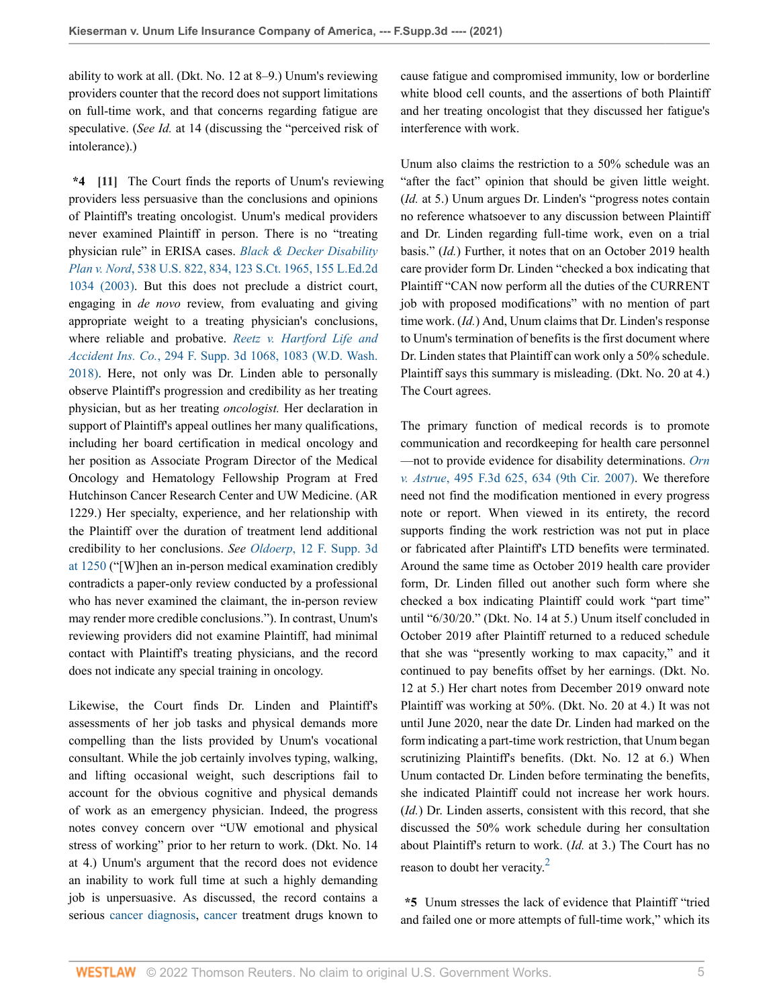ability to work at all. (Dkt. No. 12 at 8–9.) Unum's reviewing providers counter that the record does not support limitations on full-time work, and that concerns regarding fatigue are speculative. (*See Id.* at 14 (discussing the "perceived risk of intolerance).)

<span id="page-4-0"></span>**\*4 [\[11\]](#page-1-4)** The Court finds the reports of Unum's reviewing providers less persuasive than the conclusions and opinions of Plaintiff's treating oncologist. Unum's medical providers never examined Plaintiff in person. There is no "treating physician rule" in ERISA cases. *[Black & Decker Disability](http://www.westlaw.com/Link/Document/FullText?findType=Y&serNum=2003378337&pubNum=0000780&originatingDoc=I7f7d0e90573811ec80e88bfd15733b68&refType=RP&fi=co_pp_sp_780_834&originationContext=document&vr=3.0&rs=cblt1.0&transitionType=DocumentItem&contextData=(sc.Default)#co_pp_sp_780_834) Plan v. Nord*[, 538 U.S. 822, 834, 123 S.Ct. 1965, 155 L.Ed.2d](http://www.westlaw.com/Link/Document/FullText?findType=Y&serNum=2003378337&pubNum=0000780&originatingDoc=I7f7d0e90573811ec80e88bfd15733b68&refType=RP&fi=co_pp_sp_780_834&originationContext=document&vr=3.0&rs=cblt1.0&transitionType=DocumentItem&contextData=(sc.Default)#co_pp_sp_780_834) [1034 \(2003\).](http://www.westlaw.com/Link/Document/FullText?findType=Y&serNum=2003378337&pubNum=0000780&originatingDoc=I7f7d0e90573811ec80e88bfd15733b68&refType=RP&fi=co_pp_sp_780_834&originationContext=document&vr=3.0&rs=cblt1.0&transitionType=DocumentItem&contextData=(sc.Default)#co_pp_sp_780_834) But this does not preclude a district court, engaging in *de novo* review, from evaluating and giving appropriate weight to a treating physician's conclusions, where reliable and probative. *[Reetz v. Hartford Life and](http://www.westlaw.com/Link/Document/FullText?findType=Y&serNum=2043848200&pubNum=0007903&originatingDoc=I7f7d0e90573811ec80e88bfd15733b68&refType=RP&fi=co_pp_sp_7903_1083&originationContext=document&vr=3.0&rs=cblt1.0&transitionType=DocumentItem&contextData=(sc.Default)#co_pp_sp_7903_1083) Accident Ins. Co.*[, 294 F. Supp. 3d 1068, 1083 \(W.D. Wash.](http://www.westlaw.com/Link/Document/FullText?findType=Y&serNum=2043848200&pubNum=0007903&originatingDoc=I7f7d0e90573811ec80e88bfd15733b68&refType=RP&fi=co_pp_sp_7903_1083&originationContext=document&vr=3.0&rs=cblt1.0&transitionType=DocumentItem&contextData=(sc.Default)#co_pp_sp_7903_1083) [2018\)](http://www.westlaw.com/Link/Document/FullText?findType=Y&serNum=2043848200&pubNum=0007903&originatingDoc=I7f7d0e90573811ec80e88bfd15733b68&refType=RP&fi=co_pp_sp_7903_1083&originationContext=document&vr=3.0&rs=cblt1.0&transitionType=DocumentItem&contextData=(sc.Default)#co_pp_sp_7903_1083). Here, not only was Dr. Linden able to personally observe Plaintiff's progression and credibility as her treating physician, but as her treating *oncologist.* Her declaration in support of Plaintiff's appeal outlines her many qualifications, including her board certification in medical oncology and her position as Associate Program Director of the Medical Oncology and Hematology Fellowship Program at Fred Hutchinson Cancer Research Center and UW Medicine. (AR 1229.) Her specialty, experience, and her relationship with the Plaintiff over the duration of treatment lend additional credibility to her conclusions. *See Oldoerp*[, 12 F. Supp. 3d](http://www.westlaw.com/Link/Document/FullText?findType=Y&serNum=2032613026&pubNum=0007903&originatingDoc=I7f7d0e90573811ec80e88bfd15733b68&refType=RP&fi=co_pp_sp_7903_1250&originationContext=document&vr=3.0&rs=cblt1.0&transitionType=DocumentItem&contextData=(sc.Default)#co_pp_sp_7903_1250) [at 1250](http://www.westlaw.com/Link/Document/FullText?findType=Y&serNum=2032613026&pubNum=0007903&originatingDoc=I7f7d0e90573811ec80e88bfd15733b68&refType=RP&fi=co_pp_sp_7903_1250&originationContext=document&vr=3.0&rs=cblt1.0&transitionType=DocumentItem&contextData=(sc.Default)#co_pp_sp_7903_1250) ("[W]hen an in-person medical examination credibly contradicts a paper-only review conducted by a professional who has never examined the claimant, the in-person review may render more credible conclusions."). In contrast, Unum's reviewing providers did not examine Plaintiff, had minimal contact with Plaintiff's treating physicians, and the record does not indicate any special training in oncology.

Likewise, the Court finds Dr. Linden and Plaintiff's assessments of her job tasks and physical demands more compelling than the lists provided by Unum's vocational consultant. While the job certainly involves typing, walking, and lifting occasional weight, such descriptions fail to account for the obvious cognitive and physical demands of work as an emergency physician. Indeed, the progress notes convey concern over "UW emotional and physical stress of working" prior to her return to work. (Dkt. No. 14 at 4.) Unum's argument that the record does not evidence an inability to work full time at such a highly demanding job is unpersuasive. As discussed, the record contains a serious [cancer diagnosis,](http://www.westlaw.com/Link/Document/FullText?entityType=mproc&entityId=Ic14ceaaf475411db9765f9243f53508a&originationContext=document&transitionType=DocumentItem&contextData=(sc.Default)&vr=3.0&rs=cblt1.0) [cancer](http://www.westlaw.com/Link/Document/FullText?entityType=disease&entityId=Iaf34f5c3475411db9765f9243f53508a&originationContext=document&transitionType=DocumentItem&contextData=(sc.Default)&vr=3.0&rs=cblt1.0) treatment drugs known to cause fatigue and compromised immunity, low or borderline white blood cell counts, and the assertions of both Plaintiff and her treating oncologist that they discussed her fatigue's interference with work.

Unum also claims the restriction to a 50% schedule was an "after the fact" opinion that should be given little weight. (*Id.* at 5.) Unum argues Dr. Linden's "progress notes contain no reference whatsoever to any discussion between Plaintiff and Dr. Linden regarding full-time work, even on a trial basis." (*Id.*) Further, it notes that on an October 2019 health care provider form Dr. Linden "checked a box indicating that Plaintiff "CAN now perform all the duties of the CURRENT job with proposed modifications" with no mention of part time work. (*Id.*) And, Unum claims that Dr. Linden's response to Unum's termination of benefits is the first document where Dr. Linden states that Plaintiff can work only a 50% schedule. Plaintiff says this summary is misleading. (Dkt. No. 20 at 4.) The Court agrees.

The primary function of medical records is to promote communication and recordkeeping for health care personnel —not to provide evidence for disability determinations. *[Orn](http://www.westlaw.com/Link/Document/FullText?findType=Y&serNum=2012714647&pubNum=0000506&originatingDoc=I7f7d0e90573811ec80e88bfd15733b68&refType=RP&fi=co_pp_sp_506_634&originationContext=document&vr=3.0&rs=cblt1.0&transitionType=DocumentItem&contextData=(sc.Default)#co_pp_sp_506_634) v. Astrue*[, 495 F.3d 625, 634 \(9th Cir. 2007\).](http://www.westlaw.com/Link/Document/FullText?findType=Y&serNum=2012714647&pubNum=0000506&originatingDoc=I7f7d0e90573811ec80e88bfd15733b68&refType=RP&fi=co_pp_sp_506_634&originationContext=document&vr=3.0&rs=cblt1.0&transitionType=DocumentItem&contextData=(sc.Default)#co_pp_sp_506_634) We therefore need not find the modification mentioned in every progress note or report. When viewed in its entirety, the record supports finding the work restriction was not put in place or fabricated after Plaintiff's LTD benefits were terminated. Around the same time as October 2019 health care provider form, Dr. Linden filled out another such form where she checked a box indicating Plaintiff could work "part time" until "6/30/20." (Dkt. No. 14 at 5.) Unum itself concluded in October 2019 after Plaintiff returned to a reduced schedule that she was "presently working to max capacity," and it continued to pay benefits offset by her earnings. (Dkt. No. 12 at 5.) Her chart notes from December 2019 onward note Plaintiff was working at 50%. (Dkt. No. 20 at 4.) It was not until June 2020, near the date Dr. Linden had marked on the form indicating a part-time work restriction, that Unum began scrutinizing Plaintiff's benefits. (Dkt. No. 12 at 6.) When Unum contacted Dr. Linden before terminating the benefits, she indicated Plaintiff could not increase her work hours. (*Id.*) Dr. Linden asserts, consistent with this record, that she discussed the 50% work schedule during her consultation about Plaintiff's return to work. (*Id.* at 3.) The Court has no reason to doubt her veracity.[2](#page-5-1)

<span id="page-4-1"></span>**\*5** Unum stresses the lack of evidence that Plaintiff "tried and failed one or more attempts of full-time work," which its